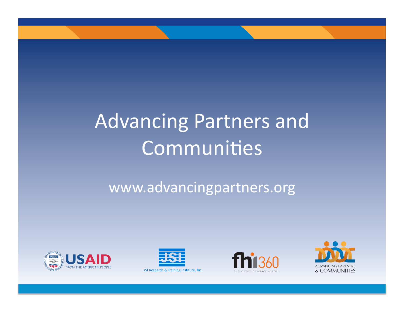# Advancing Partners and Communities

www.advancingpartners.org)









JSI Research & Training Institute, Inc.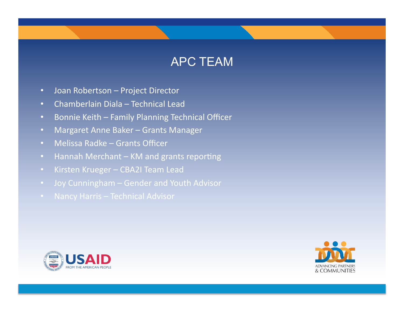#### APC TEAM

- Joan Robertson Project Director
- Chamberlain Diala Technical Lead
- Bonnie Keith Family Planning Technical Officer
- Margaret Anne Baker Grants Manager
- Melissa Radke Grants Officer
- Hannah Merchant KM and grants reporting
- Kirsten Krueger CBA2I Team Lead
- Joy Cunningham Gender and Youth Advisor
- 



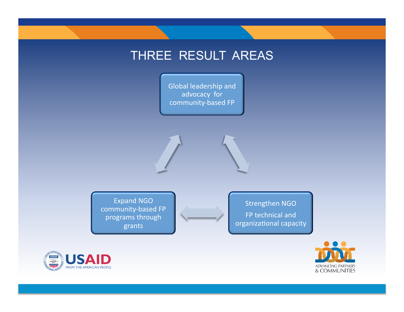## THREE RESULT AREAS

Global leadership and advocacy for community-based FP

Expand NGO community-based FP programs through grants)

Strengthen NGO FP technical and organizational capacity



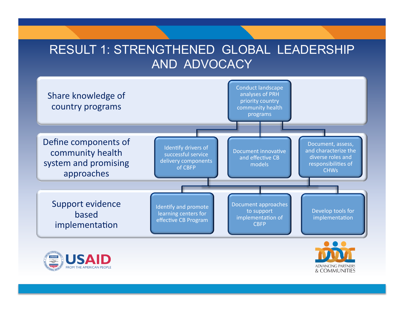#### RESULT 1: STRENGTHENED GLOBAL LEADERSHIP AND ADVOCACY

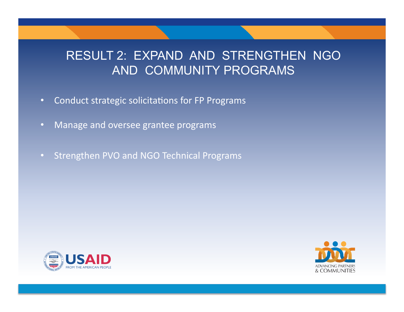#### RESULT 2: EXPAND AND STRENGTHEN NGO AND COMMUNITY PROGRAMS

- Conduct strategic solicitations for FP Programs
- Manage and oversee grantee programs
- Strengthen PVO and NGO Technical Programs



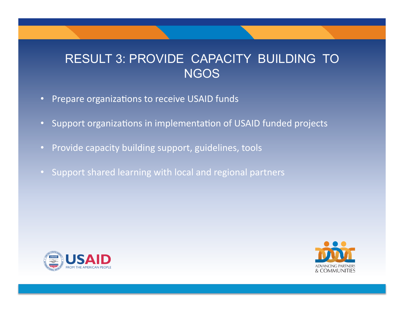#### RESULT 3: PROVIDE CAPACITY BUILDING TO **NGOS**

- Prepare organizations to receive USAID funds
- Support organizations in implementation of USAID funded projects
- Provide capacity building support, guidelines, tools
- Support shared learning with local and regional partners



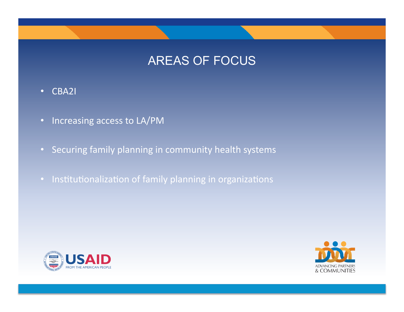# AREAS OF FOCUS

- CBA2I
- Increasing access to LA/PM
- Securing family planning in community health systems
- Institutionalization of family planning in organizations